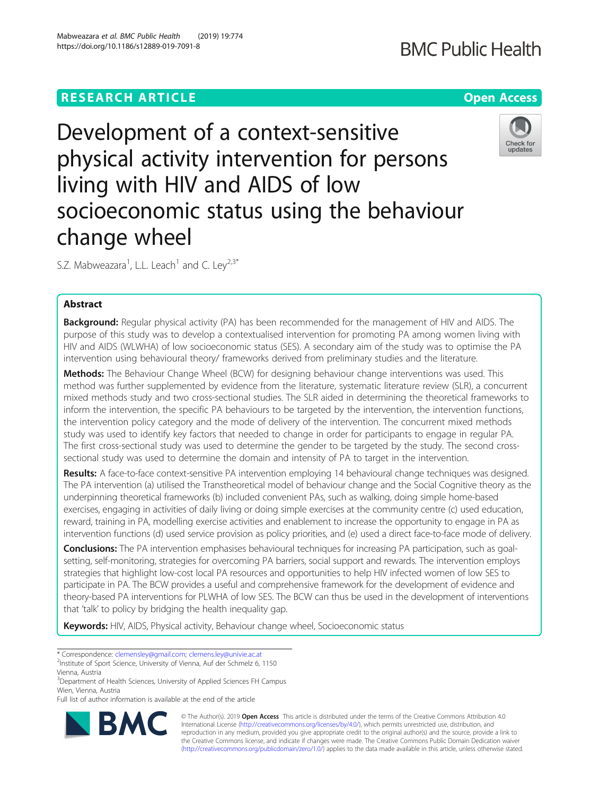## **RESEARCH ARTICLE Example 2014 12:30 The Contract of Contract ACCESS**

# Development of a context-sensitive physical activity intervention for persons living with HIV and AIDS of low socioeconomic status using the behaviour change wheel

S.Z. Mabweazara<sup>1</sup>, L.L. Leach<sup>1</sup> and C. Ley<sup>2,3\*</sup>

## Abstract

**Background:** Regular physical activity (PA) has been recommended for the management of HIV and AIDS. The purpose of this study was to develop a contextualised intervention for promoting PA among women living with HIV and AIDS (WLWHA) of low socioeconomic status (SES). A secondary aim of the study was to optimise the PA intervention using behavioural theory/ frameworks derived from preliminary studies and the literature.

**Methods:** The Behaviour Change Wheel (BCW) for designing behaviour change interventions was used. This method was further supplemented by evidence from the literature, systematic literature review (SLR), a concurrent mixed methods study and two cross-sectional studies. The SLR aided in determining the theoretical frameworks to inform the intervention, the specific PA behaviours to be targeted by the intervention, the intervention functions, the intervention policy category and the mode of delivery of the intervention. The concurrent mixed methods study was used to identify key factors that needed to change in order for participants to engage in regular PA. The first cross-sectional study was used to determine the gender to be targeted by the study. The second crosssectional study was used to determine the domain and intensity of PA to target in the intervention.

Results: A face-to-face context-sensitive PA intervention employing 14 behavioural change techniques was designed. The PA intervention (a) utilised the Transtheoretical model of behaviour change and the Social Cognitive theory as the underpinning theoretical frameworks (b) included convenient PAs, such as walking, doing simple home-based exercises, engaging in activities of daily living or doing simple exercises at the community centre (c) used education, reward, training in PA, modelling exercise activities and enablement to increase the opportunity to engage in PA as intervention functions (d) used service provision as policy priorities, and (e) used a direct face-to-face mode of delivery.

**Conclusions:** The PA intervention emphasises behavioural techniques for increasing PA participation, such as goalsetting, self-monitoring, strategies for overcoming PA barriers, social support and rewards. The intervention employs strategies that highlight low-cost local PA resources and opportunities to help HIV infected women of low SES to participate in PA. The BCW provides a useful and comprehensive framework for the development of evidence and theory-based PA interventions for PLWHA of low SES. The BCW can thus be used in the development of interventions that 'talk' to policy by bridging the health inequality gap.

Keywords: HIV, AIDS, Physical activity, Behaviour change wheel, Socioeconomic status







© The Author(s). 2019 **Open Access** This article is distributed under the terms of the Creative Commons Attribution 4.0 International License [\(http://creativecommons.org/licenses/by/4.0/](http://creativecommons.org/licenses/by/4.0/)), which permits unrestricted use, distribution, and reproduction in any medium, provided you give appropriate credit to the original author(s) and the source, provide a link to the Creative Commons license, and indicate if changes were made. The Creative Commons Public Domain Dedication waiver [\(http://creativecommons.org/publicdomain/zero/1.0/](http://creativecommons.org/publicdomain/zero/1.0/)) applies to the data made available in this article, unless otherwise stated.



Check for updates

<sup>\*</sup> Correspondence: [clemensley@gmail.com](mailto:clemensley@gmail.com); [clemens.ley@univie.ac.at](mailto:clemens.ley@univie.ac.at) <sup>2</sup>

<sup>&</sup>lt;sup>2</sup>Institute of Sport Science, University of Vienna, Auf der Schmelz 6, 1150 Vienna, Austria

<sup>&</sup>lt;sup>3</sup>Department of Health Sciences, University of Applied Sciences FH Campus Wien, Vienna, Austria

Full list of author information is available at the end of the article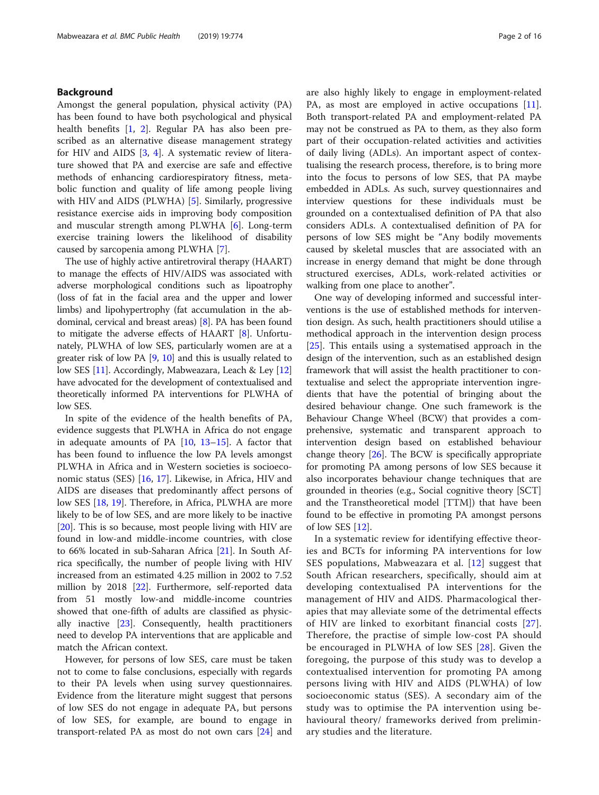## Background

Amongst the general population, physical activity (PA) has been found to have both psychological and physical health benefits [\[1](#page-13-0), [2\]](#page-13-0). Regular PA has also been prescribed as an alternative disease management strategy for HIV and AIDS  $[3, 4]$  $[3, 4]$  $[3, 4]$  $[3, 4]$  $[3, 4]$ . A systematic review of literature showed that PA and exercise are safe and effective methods of enhancing cardiorespiratory fitness, metabolic function and quality of life among people living with HIV and AIDS (PLWHA) [\[5](#page-14-0)]. Similarly, progressive resistance exercise aids in improving body composition and muscular strength among PLWHA [\[6\]](#page-14-0). Long-term exercise training lowers the likelihood of disability caused by sarcopenia among PLWHA [\[7](#page-14-0)].

The use of highly active antiretroviral therapy (HAART) to manage the effects of HIV/AIDS was associated with adverse morphological conditions such as lipoatrophy (loss of fat in the facial area and the upper and lower limbs) and lipohypertrophy (fat accumulation in the abdominal, cervical and breast areas) [[8](#page-14-0)]. PA has been found to mitigate the adverse effects of HAART [\[8](#page-14-0)]. Unfortunately, PLWHA of low SES, particularly women are at a greater risk of low PA [\[9](#page-14-0), [10\]](#page-14-0) and this is usually related to low SES [\[11\]](#page-14-0). Accordingly, Mabweazara, Leach & Ley [[12](#page-14-0)] have advocated for the development of contextualised and theoretically informed PA interventions for PLWHA of low SES.

In spite of the evidence of the health benefits of PA, evidence suggests that PLWHA in Africa do not engage in adequate amounts of PA [[10,](#page-14-0) [13](#page-14-0)–[15\]](#page-14-0). A factor that has been found to influence the low PA levels amongst PLWHA in Africa and in Western societies is socioeconomic status (SES) [\[16](#page-14-0), [17](#page-14-0)]. Likewise, in Africa, HIV and AIDS are diseases that predominantly affect persons of low SES [[18,](#page-14-0) [19\]](#page-14-0). Therefore, in Africa, PLWHA are more likely to be of low SES, and are more likely to be inactive [[20\]](#page-14-0). This is so because, most people living with HIV are found in low-and middle-income countries, with close to 66% located in sub-Saharan Africa [[21](#page-14-0)]. In South Africa specifically, the number of people living with HIV increased from an estimated 4.25 million in 2002 to 7.52 million by 2018 [[22\]](#page-14-0). Furthermore, self-reported data from 51 mostly low-and middle-income countries showed that one-fifth of adults are classified as physically inactive [\[23](#page-14-0)]. Consequently, health practitioners need to develop PA interventions that are applicable and match the African context.

However, for persons of low SES, care must be taken not to come to false conclusions, especially with regards to their PA levels when using survey questionnaires. Evidence from the literature might suggest that persons of low SES do not engage in adequate PA, but persons of low SES, for example, are bound to engage in transport-related PA as most do not own cars [[24](#page-14-0)] and are also highly likely to engage in employment-related PA, as most are employed in active occupations [\[11](#page-14-0)]. Both transport-related PA and employment-related PA may not be construed as PA to them, as they also form part of their occupation-related activities and activities of daily living (ADLs). An important aspect of contextualising the research process, therefore, is to bring more into the focus to persons of low SES, that PA maybe embedded in ADLs. As such, survey questionnaires and interview questions for these individuals must be grounded on a contextualised definition of PA that also considers ADLs. A contextualised definition of PA for persons of low SES might be "Any bodily movements caused by skeletal muscles that are associated with an increase in energy demand that might be done through structured exercises, ADLs, work-related activities or walking from one place to another".

One way of developing informed and successful interventions is the use of established methods for intervention design. As such, health practitioners should utilise a methodical approach in the intervention design process [[25\]](#page-14-0). This entails using a systematised approach in the design of the intervention, such as an established design framework that will assist the health practitioner to contextualise and select the appropriate intervention ingredients that have the potential of bringing about the desired behaviour change. One such framework is the Behaviour Change Wheel (BCW) that provides a comprehensive, systematic and transparent approach to intervention design based on established behaviour change theory [[26](#page-14-0)]. The BCW is specifically appropriate for promoting PA among persons of low SES because it also incorporates behaviour change techniques that are grounded in theories (e.g., Social cognitive theory [SCT] and the Transtheoretical model [TTM]) that have been found to be effective in promoting PA amongst persons of low SES [[12\]](#page-14-0).

In a systematic review for identifying effective theories and BCTs for informing PA interventions for low SES populations, Mabweazara et al. [[12\]](#page-14-0) suggest that South African researchers, specifically, should aim at developing contextualised PA interventions for the management of HIV and AIDS. Pharmacological therapies that may alleviate some of the detrimental effects of HIV are linked to exorbitant financial costs [[27](#page-14-0)]. Therefore, the practise of simple low-cost PA should be encouraged in PLWHA of low SES [[28](#page-14-0)]. Given the foregoing, the purpose of this study was to develop a contextualised intervention for promoting PA among persons living with HIV and AIDS (PLWHA) of low socioeconomic status (SES). A secondary aim of the study was to optimise the PA intervention using behavioural theory/ frameworks derived from preliminary studies and the literature.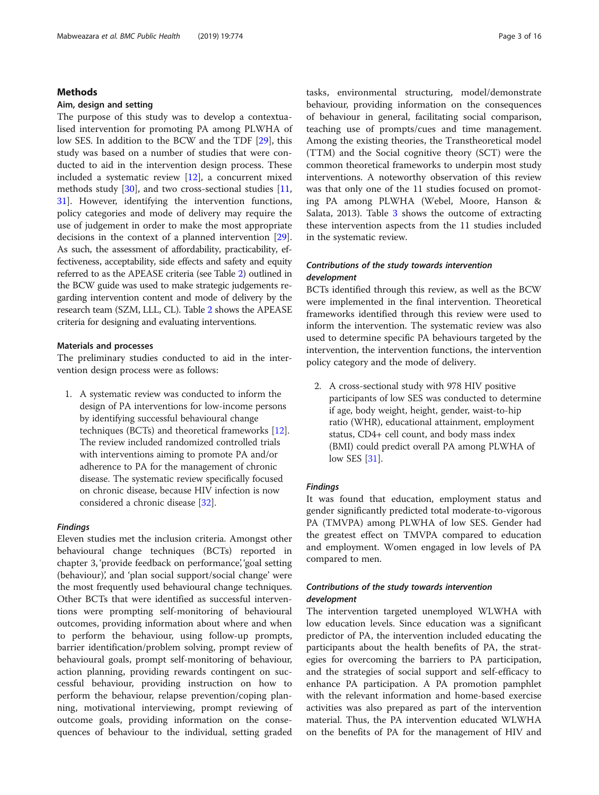#### Methods

#### Aim, design and setting

The purpose of this study was to develop a contextualised intervention for promoting PA among PLWHA of low SES. In addition to the BCW and the TDF [\[29](#page-14-0)], this study was based on a number of studies that were conducted to aid in the intervention design process. These included a systematic review [[12\]](#page-14-0), a concurrent mixed methods study [[30\]](#page-14-0), and two cross-sectional studies [[11](#page-14-0), [31\]](#page-14-0). However, identifying the intervention functions, policy categories and mode of delivery may require the use of judgement in order to make the most appropriate decisions in the context of a planned intervention [\[29](#page-14-0)]. As such, the assessment of affordability, practicability, effectiveness, acceptability, side effects and safety and equity referred to as the APEASE criteria (see Table [2\)](#page-6-0) outlined in the BCW guide was used to make strategic judgements regarding intervention content and mode of delivery by the research team (SZM, LLL, CL). Table [2](#page-6-0) shows the APEASE criteria for designing and evaluating interventions.

#### Materials and processes

The preliminary studies conducted to aid in the intervention design process were as follows:

1. A systematic review was conducted to inform the design of PA interventions for low-income persons by identifying successful behavioural change techniques (BCTs) and theoretical frameworks [\[12\]](#page-14-0). The review included randomized controlled trials with interventions aiming to promote PA and/or adherence to PA for the management of chronic disease. The systematic review specifically focused on chronic disease, because HIV infection is now considered a chronic disease [\[32\]](#page-14-0).

#### Findings

Eleven studies met the inclusion criteria. Amongst other behavioural change techniques (BCTs) reported in chapter 3, 'provide feedback on performance', 'goal setting (behaviour)', and 'plan social support/social change' were the most frequently used behavioural change techniques. Other BCTs that were identified as successful interventions were prompting self-monitoring of behavioural outcomes, providing information about where and when to perform the behaviour, using follow-up prompts, barrier identification/problem solving, prompt review of behavioural goals, prompt self-monitoring of behaviour, action planning, providing rewards contingent on successful behaviour, providing instruction on how to perform the behaviour, relapse prevention/coping planning, motivational interviewing, prompt reviewing of outcome goals, providing information on the consequences of behaviour to the individual, setting graded

tasks, environmental structuring, model/demonstrate behaviour, providing information on the consequences of behaviour in general, facilitating social comparison, teaching use of prompts/cues and time management. Among the existing theories, the Transtheoretical model (TTM) and the Social cognitive theory (SCT) were the common theoretical frameworks to underpin most study interventions. A noteworthy observation of this review was that only one of the 11 studies focused on promoting PA among PLWHA (Webel, Moore, Hanson & Salata, 2013). Table [3](#page-6-0) shows the outcome of extracting these intervention aspects from the 11 studies included in the systematic review.

## Contributions of the study towards intervention development

BCTs identified through this review, as well as the BCW were implemented in the final intervention. Theoretical frameworks identified through this review were used to inform the intervention. The systematic review was also used to determine specific PA behaviours targeted by the intervention, the intervention functions, the intervention policy category and the mode of delivery.

2. A cross-sectional study with 978 HIV positive participants of low SES was conducted to determine if age, body weight, height, gender, waist-to-hip ratio (WHR), educational attainment, employment status, CD4+ cell count, and body mass index (BMI) could predict overall PA among PLWHA of low SES [[31\]](#page-14-0).

#### Findings

It was found that education, employment status and gender significantly predicted total moderate-to-vigorous PA (TMVPA) among PLWHA of low SES. Gender had the greatest effect on TMVPA compared to education and employment. Women engaged in low levels of PA compared to men.

## Contributions of the study towards intervention development

The intervention targeted unemployed WLWHA with low education levels. Since education was a significant predictor of PA, the intervention included educating the participants about the health benefits of PA, the strategies for overcoming the barriers to PA participation, and the strategies of social support and self-efficacy to enhance PA participation. A PA promotion pamphlet with the relevant information and home-based exercise activities was also prepared as part of the intervention material. Thus, the PA intervention educated WLWHA on the benefits of PA for the management of HIV and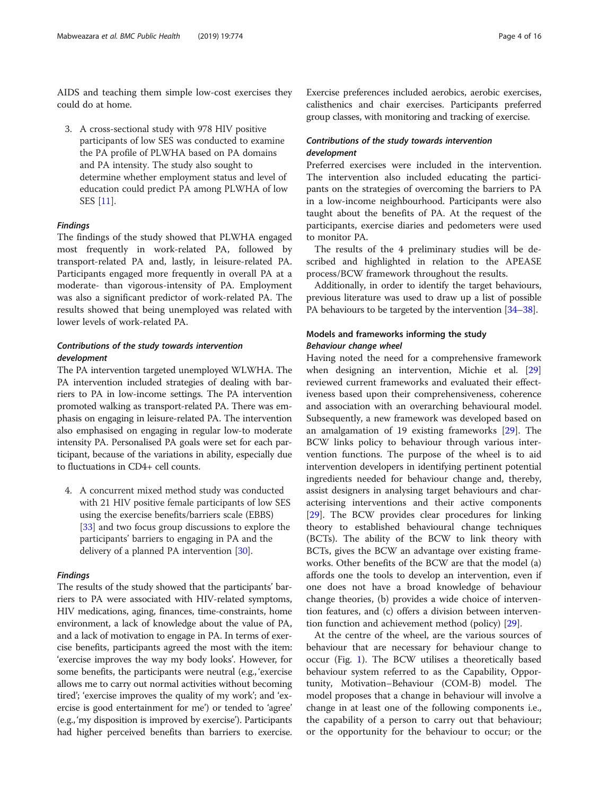AIDS and teaching them simple low-cost exercises they could do at home.

3. A cross-sectional study with 978 HIV positive participants of low SES was conducted to examine the PA profile of PLWHA based on PA domains and PA intensity. The study also sought to determine whether employment status and level of education could predict PA among PLWHA of low SES [[11](#page-14-0)].

#### Findings

The findings of the study showed that PLWHA engaged most frequently in work-related PA, followed by transport-related PA and, lastly, in leisure-related PA. Participants engaged more frequently in overall PA at a moderate- than vigorous-intensity of PA. Employment was also a significant predictor of work-related PA. The results showed that being unemployed was related with lower levels of work-related PA.

## Contributions of the study towards intervention development

The PA intervention targeted unemployed WLWHA. The PA intervention included strategies of dealing with barriers to PA in low-income settings. The PA intervention promoted walking as transport-related PA. There was emphasis on engaging in leisure-related PA. The intervention also emphasised on engaging in regular low-to moderate intensity PA. Personalised PA goals were set for each participant, because of the variations in ability, especially due to fluctuations in CD4+ cell counts.

4. A concurrent mixed method study was conducted with 21 HIV positive female participants of low SES using the exercise benefits/barriers scale (EBBS) [\[33](#page-14-0)] and two focus group discussions to explore the participants' barriers to engaging in PA and the delivery of a planned PA intervention [[30](#page-14-0)].

#### Findings

The results of the study showed that the participants' barriers to PA were associated with HIV-related symptoms, HIV medications, aging, finances, time-constraints, home environment, a lack of knowledge about the value of PA, and a lack of motivation to engage in PA. In terms of exercise benefits, participants agreed the most with the item: 'exercise improves the way my body looks'. However, for some benefits, the participants were neutral (e.g., 'exercise allows me to carry out normal activities without becoming tired'; 'exercise improves the quality of my work'; and 'exercise is good entertainment for me') or tended to 'agree' (e.g., 'my disposition is improved by exercise'). Participants had higher perceived benefits than barriers to exercise.

Exercise preferences included aerobics, aerobic exercises, calisthenics and chair exercises. Participants preferred group classes, with monitoring and tracking of exercise.

## Contributions of the study towards intervention development

Preferred exercises were included in the intervention. The intervention also included educating the participants on the strategies of overcoming the barriers to PA in a low-income neighbourhood. Participants were also taught about the benefits of PA. At the request of the participants, exercise diaries and pedometers were used to monitor PA.

The results of the 4 preliminary studies will be described and highlighted in relation to the APEASE process/BCW framework throughout the results.

Additionally, in order to identify the target behaviours, previous literature was used to draw up a list of possible PA behaviours to be targeted by the intervention [[34](#page-14-0)–[38\]](#page-14-0).

## Models and frameworks informing the study Behaviour change wheel

Having noted the need for a comprehensive framework when designing an intervention, Michie et al. [[29](#page-14-0)] reviewed current frameworks and evaluated their effectiveness based upon their comprehensiveness, coherence and association with an overarching behavioural model. Subsequently, a new framework was developed based on an amalgamation of 19 existing frameworks [\[29](#page-14-0)]. The BCW links policy to behaviour through various intervention functions. The purpose of the wheel is to aid intervention developers in identifying pertinent potential ingredients needed for behaviour change and, thereby, assist designers in analysing target behaviours and characterising interventions and their active components [[29\]](#page-14-0). The BCW provides clear procedures for linking theory to established behavioural change techniques (BCTs). The ability of the BCW to link theory with BCTs, gives the BCW an advantage over existing frameworks. Other benefits of the BCW are that the model (a) affords one the tools to develop an intervention, even if one does not have a broad knowledge of behaviour change theories, (b) provides a wide choice of intervention features, and (c) offers a division between intervention function and achievement method (policy) [\[29](#page-14-0)].

At the centre of the wheel, are the various sources of behaviour that are necessary for behaviour change to occur (Fig. [1\)](#page-4-0). The BCW utilises a theoretically based behaviour system referred to as the Capability, Opportunity, Motivation–Behaviour (COM-B) model. The model proposes that a change in behaviour will involve a change in at least one of the following components i.e., the capability of a person to carry out that behaviour; or the opportunity for the behaviour to occur; or the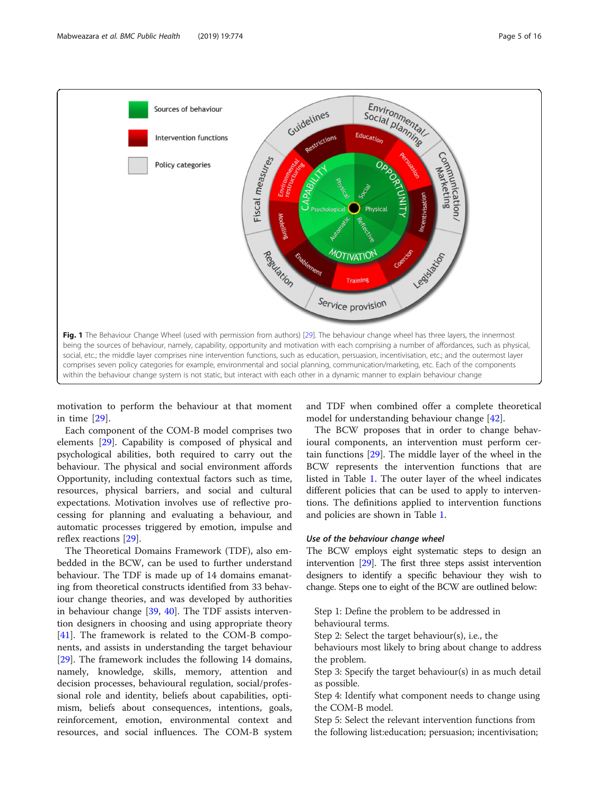<span id="page-4-0"></span>

motivation to perform the behaviour at that moment in time [[29\]](#page-14-0).

Each component of the COM-B model comprises two elements [\[29](#page-14-0)]. Capability is composed of physical and psychological abilities, both required to carry out the behaviour. The physical and social environment affords Opportunity, including contextual factors such as time, resources, physical barriers, and social and cultural expectations. Motivation involves use of reflective processing for planning and evaluating a behaviour, and automatic processes triggered by emotion, impulse and reflex reactions [\[29](#page-14-0)].

The Theoretical Domains Framework (TDF), also embedded in the BCW, can be used to further understand behaviour. The TDF is made up of 14 domains emanating from theoretical constructs identified from 33 behaviour change theories, and was developed by authorities in behaviour change [[39,](#page-14-0) [40](#page-14-0)]. The TDF assists intervention designers in choosing and using appropriate theory [[41\]](#page-14-0). The framework is related to the COM-B components, and assists in understanding the target behaviour [[29\]](#page-14-0). The framework includes the following 14 domains, namely, knowledge, skills, memory, attention and decision processes, behavioural regulation, social/professional role and identity, beliefs about capabilities, optimism, beliefs about consequences, intentions, goals, reinforcement, emotion, environmental context and resources, and social influences. The COM-B system

and TDF when combined offer a complete theoretical model for understanding behaviour change [\[42](#page-14-0)].

The BCW proposes that in order to change behavioural components, an intervention must perform certain functions [\[29\]](#page-14-0). The middle layer of the wheel in the BCW represents the intervention functions that are listed in Table [1.](#page-5-0) The outer layer of the wheel indicates different policies that can be used to apply to interventions. The definitions applied to intervention functions and policies are shown in Table [1.](#page-5-0)

#### Use of the behaviour change wheel

The BCW employs eight systematic steps to design an intervention [\[29](#page-14-0)]. The first three steps assist intervention designers to identify a specific behaviour they wish to change. Steps one to eight of the BCW are outlined below:

Step 1: Define the problem to be addressed in behavioural terms.

Step 2: Select the target behaviour(s), i.e., the

behaviours most likely to bring about change to address the problem.

Step 3: Specify the target behaviour(s) in as much detail as possible.

Step 4: Identify what component needs to change using the COM-B model.

Step 5: Select the relevant intervention functions from the following list:education; persuasion; incentivisation;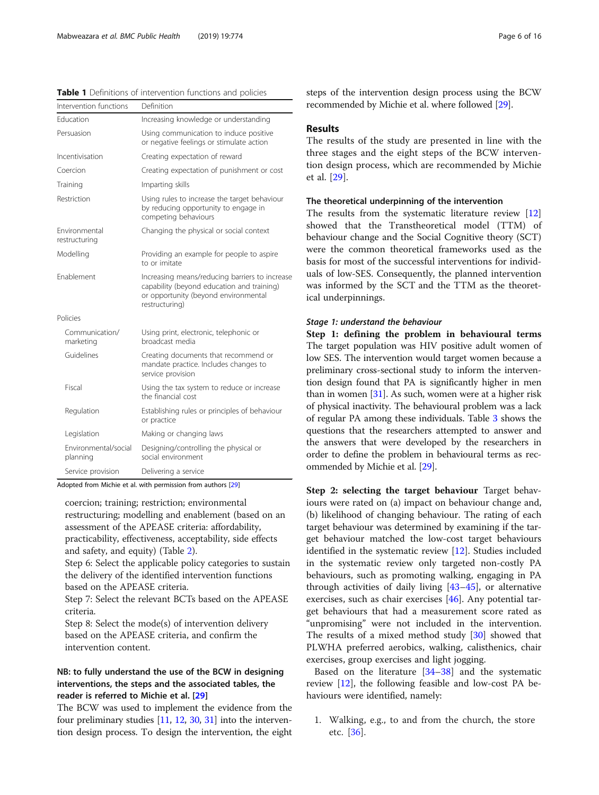Adopted from Michie et al. with permission from authors [[29\]](#page-14-0)

coercion; training; restriction; environmental restructuring; modelling and enablement (based on an assessment of the APEASE criteria: affordability, practicability, effectiveness, acceptability, side effects and safety, and equity) (Table [2](#page-6-0)).

Step 6: Select the applicable policy categories to sustain the delivery of the identified intervention functions based on the APEASE criteria.

Step 7: Select the relevant BCTs based on the APEASE criteria.

Step 8: Select the mode(s) of intervention delivery based on the APEASE criteria, and confirm the intervention content.

## NB: to fully understand the use of the BCW in designing interventions, the steps and the associated tables, the reader is referred to Michie et al. [\[29\]](#page-14-0)

The BCW was used to implement the evidence from the four preliminary studies [\[11,](#page-14-0) [12,](#page-14-0) [30](#page-14-0), [31](#page-14-0)] into the intervention design process. To design the intervention, the eight steps of the intervention design process using the BCW recommended by Michie et al. where followed [\[29](#page-14-0)].

#### Results

The results of the study are presented in line with the three stages and the eight steps of the BCW intervention design process, which are recommended by Michie et al. [[29](#page-14-0)].

#### The theoretical underpinning of the intervention

The results from the systematic literature review [[12](#page-14-0)] showed that the Transtheoretical model (TTM) of behaviour change and the Social Cognitive theory (SCT) were the common theoretical frameworks used as the basis for most of the successful interventions for individuals of low-SES. Consequently, the planned intervention was informed by the SCT and the TTM as the theoretical underpinnings.

#### Stage 1: understand the behaviour

Step 1: defining the problem in behavioural terms The target population was HIV positive adult women of low SES. The intervention would target women because a preliminary cross-sectional study to inform the intervention design found that PA is significantly higher in men than in women [\[31\]](#page-14-0). As such, women were at a higher risk of physical inactivity. The behavioural problem was a lack of regular PA among these individuals. Table [3](#page-6-0) shows the questions that the researchers attempted to answer and the answers that were developed by the researchers in order to define the problem in behavioural terms as recommended by Michie et al. [[29](#page-14-0)].

Step 2: selecting the target behaviour Target behaviours were rated on (a) impact on behaviour change and, (b) likelihood of changing behaviour. The rating of each target behaviour was determined by examining if the target behaviour matched the low-cost target behaviours identified in the systematic review [\[12](#page-14-0)]. Studies included in the systematic review only targeted non-costly PA behaviours, such as promoting walking, engaging in PA through activities of daily living  $[43-45]$  $[43-45]$  $[43-45]$ , or alternative exercises, such as chair exercises [\[46](#page-14-0)]. Any potential target behaviours that had a measurement score rated as "unpromising" were not included in the intervention. The results of a mixed method study [[30](#page-14-0)] showed that PLWHA preferred aerobics, walking, calisthenics, chair exercises, group exercises and light jogging.

Based on the literature  $[34-38]$  $[34-38]$  $[34-38]$  $[34-38]$  $[34-38]$  and the systematic review [[12](#page-14-0)], the following feasible and low-cost PA behaviours were identified, namely:

1. Walking, e.g., to and from the church, the store etc. [[36\]](#page-14-0).

| Education                        | Increasing knowledge or understanding                                                                                                                  |
|----------------------------------|--------------------------------------------------------------------------------------------------------------------------------------------------------|
| Persuasion                       | Using communication to induce positive<br>or negative feelings or stimulate action                                                                     |
| Incentivisation                  | Creating expectation of reward                                                                                                                         |
| Coercion                         | Creating expectation of punishment or cost                                                                                                             |
| Training                         | Imparting skills                                                                                                                                       |
| Restriction                      | Using rules to increase the target behaviour<br>by reducing opportunity to engage in<br>competing behaviours                                           |
| Environmental<br>restructuring   | Changing the physical or social context                                                                                                                |
| Modelling                        | Providing an example for people to aspire<br>to or imitate                                                                                             |
| Fnablement                       | Increasing means/reducing barriers to increase<br>capability (beyond education and training)<br>or opportunity (beyond environmental<br>restructuring) |
| Policies                         |                                                                                                                                                        |
| Communication/<br>marketing      | Using print, electronic, telephonic or<br>broadcast media                                                                                              |
| Guidelines                       | Creating documents that recommend or<br>mandate practice. Includes changes to<br>service provision                                                     |
| Fiscal                           | Using the tax system to reduce or increase<br>the financial cost                                                                                       |
| Regulation                       | Establishing rules or principles of behaviour<br>or practice                                                                                           |
| Legislation                      | Making or changing laws                                                                                                                                |
| Environmental/social<br>planning | Designing/controlling the physical or<br>social environment                                                                                            |
| Service provision                | Delivering a service                                                                                                                                   |
|                                  |                                                                                                                                                        |

<span id="page-5-0"></span>Intervention functions Definition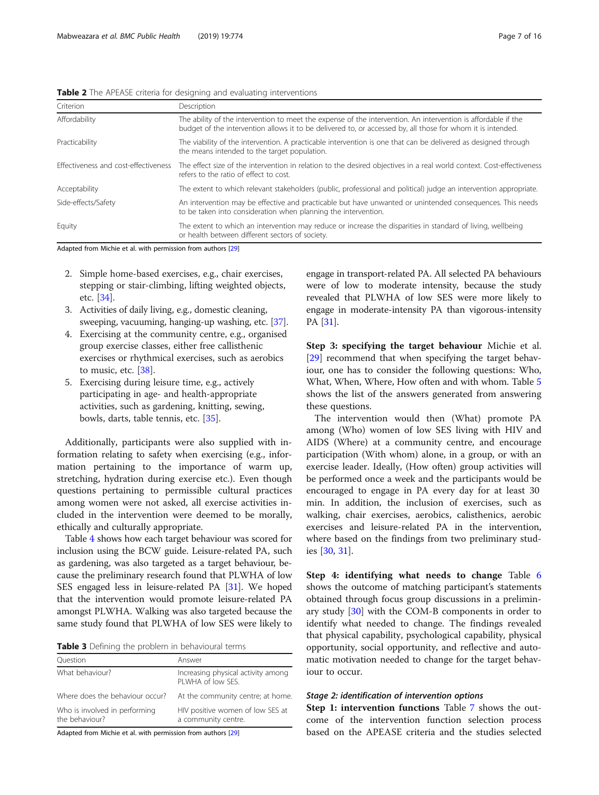| Page 7 of 16 |  |  |
|--------------|--|--|
|              |  |  |

<span id="page-6-0"></span>

|  |  |  |  | <b>Table 2</b> The APEASE criteria for designing and evaluating interventions |
|--|--|--|--|-------------------------------------------------------------------------------|
|  |  |  |  |                                                                               |

| Criterion                            | Description                                                                                                                                                                                                                  |
|--------------------------------------|------------------------------------------------------------------------------------------------------------------------------------------------------------------------------------------------------------------------------|
| Affordability                        | The ability of the intervention to meet the expense of the intervention. An intervention is affordable if the<br>budget of the intervention allows it to be delivered to, or accessed by, all those for whom it is intended. |
| Practicability                       | The viability of the intervention. A practicable intervention is one that can be delivered as designed through<br>the means intended to the target population.                                                               |
| Effectiveness and cost-effectiveness | The effect size of the intervention in relation to the desired objectives in a real world context. Cost-effectiveness<br>refers to the ratio of effect to cost.                                                              |
| Acceptability                        | The extent to which relevant stakeholders (public, professional and political) judge an intervention appropriate.                                                                                                            |
| Side-effects/Safety                  | An intervention may be effective and practicable but have unwanted or unintended consequences. This needs<br>to be taken into consideration when planning the intervention.                                                  |
| Equity                               | The extent to which an intervention may reduce or increase the disparities in standard of living, wellbeing<br>or health between different sectors of society.                                                               |

Adapted from Michie et al. with permission from authors [\[29](#page-14-0)]

- 2. Simple home-based exercises, e.g., chair exercises, stepping or stair-climbing, lifting weighted objects, etc. [\[34](#page-14-0)].
- 3. Activities of daily living, e.g., domestic cleaning, sweeping, vacuuming, hanging-up washing, etc. [\[37\]](#page-14-0).
- 4. Exercising at the community centre, e.g., organised group exercise classes, either free callisthenic exercises or rhythmical exercises, such as aerobics to music, etc. [[38](#page-14-0)].
- 5. Exercising during leisure time, e.g., actively participating in age- and health-appropriate activities, such as gardening, knitting, sewing, bowls, darts, table tennis, etc. [[35](#page-14-0)].

Additionally, participants were also supplied with information relating to safety when exercising (e.g., information pertaining to the importance of warm up, stretching, hydration during exercise etc.). Even though questions pertaining to permissible cultural practices among women were not asked, all exercise activities included in the intervention were deemed to be morally, ethically and culturally appropriate.

Table [4](#page-7-0) shows how each target behaviour was scored for inclusion using the BCW guide. Leisure-related PA, such as gardening, was also targeted as a target behaviour, because the preliminary research found that PLWHA of low SES engaged less in leisure-related PA [\[31\]](#page-14-0). We hoped that the intervention would promote leisure-related PA amongst PLWHA. Walking was also targeted because the same study found that PLWHA of low SES were likely to

Table 3 Defining the problem in behavioural terms

| Ouestion                                                                      | Answer                                                   |
|-------------------------------------------------------------------------------|----------------------------------------------------------|
| What behaviour?                                                               | Increasing physical activity among<br>PI WHA of low SES. |
| Where does the behaviour occur?                                               | At the community centre; at home.                        |
| Who is involved in performing<br>the behaviour?                               | HIV positive women of low SES at<br>a community centre.  |
| A dentro di Corno, Migleir, et al. coitle nonnatazione Corno, a cole ene FOOI |                                                          |

Adapted from Michie et al. with permission from authors [\[29](#page-14-0)]

engage in transport-related PA. All selected PA behaviours were of low to moderate intensity, because the study revealed that PLWHA of low SES were more likely to engage in moderate-intensity PA than vigorous-intensity PA [\[31\]](#page-14-0).

Step 3: specifying the target behaviour Michie et al. [[29\]](#page-14-0) recommend that when specifying the target behaviour, one has to consider the following questions: Who, What, When, Where, How often and with whom. Table [5](#page-7-0) shows the list of the answers generated from answering these questions.

The intervention would then (What) promote PA among (Who) women of low SES living with HIV and AIDS (Where) at a community centre, and encourage participation (With whom) alone, in a group, or with an exercise leader. Ideally, (How often) group activities will be performed once a week and the participants would be encouraged to engage in PA every day for at least 30 min. In addition, the inclusion of exercises, such as walking, chair exercises, aerobics, calisthenics, aerobic exercises and leisure-related PA in the intervention, where based on the findings from two preliminary studies [[30](#page-14-0), [31](#page-14-0)].

Step 4: identifying what needs to change Table [6](#page-8-0) shows the outcome of matching participant's statements obtained through focus group discussions in a preliminary study [\[30\]](#page-14-0) with the COM-B components in order to identify what needed to change. The findings revealed that physical capability, psychological capability, physical opportunity, social opportunity, and reflective and automatic motivation needed to change for the target behaviour to occur.

#### Stage 2: identification of intervention options

Step 1: intervention functions Table [7](#page-9-0) shows the outcome of the intervention function selection process based on the APEASE criteria and the studies selected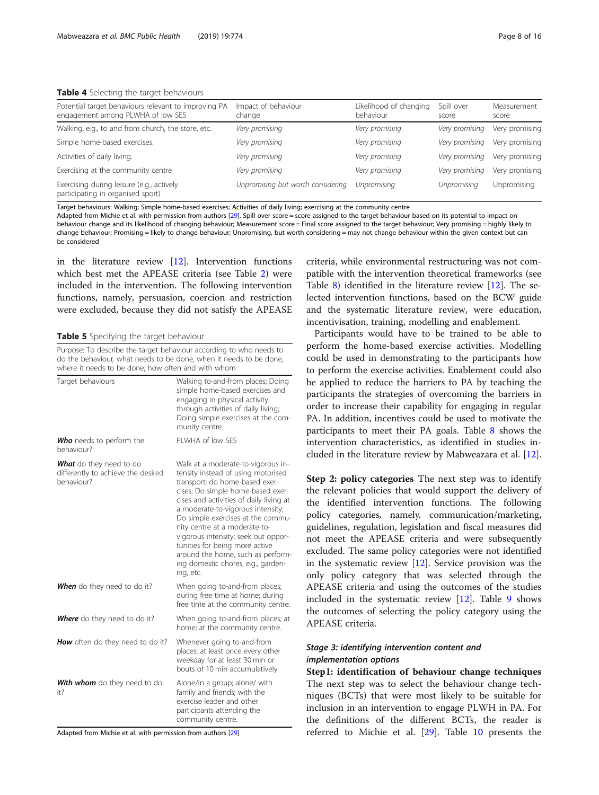<span id="page-7-0"></span>

| Page 8 of |  |
|-----------|--|
|-----------|--|

| Potential target behaviours relevant to improving PA<br>engagement among PLWHA of low SES | Impact of behaviour<br>change     | Likelihood of changing<br>behaviour | Spill over<br>score | Measurement<br>score |
|-------------------------------------------------------------------------------------------|-----------------------------------|-------------------------------------|---------------------|----------------------|
| Walking, e.g., to and from church, the store, etc.                                        | Very promising                    | Very promising                      | Very promising      | Very promising       |
| Simple home-based exercises.                                                              | Very promising                    | Very promising                      | Very promising      | Very promising       |
| Activities of daily living.                                                               | Very promising                    | Very promising                      | Very promising      | Very promising       |
| Exercising at the community centre                                                        | Very promising                    | Very promising                      | Very promising      | Very promising       |
| Exercising during leisure (e.g., actively<br>participating in organised sport)            | Unpromising but worth considering | <b>Unpromising</b>                  | Unpromising         | Unpromising          |

Target behaviours: Walking; Simple home-based exercises; Activities of daily living; exercising at the community centre

Adapted from Michie et al. with permission from authors [\[29](#page-14-0)]. Spill over score = score assigned to the target behaviour based on its potential to impact on behaviour change and its likelihood of changing behaviour; Measurement score = Final score assigned to the target behaviour; Very promising = highly likely to change behaviour; Promising = likely to change behaviour; Unpromising, but worth considering = may not change behaviour within the given context but can be considered

in the literature review  $[12]$  $[12]$  $[12]$ . Intervention functions which best met the APEASE criteria (see Table [2](#page-6-0)) were included in the intervention. The following intervention functions, namely, persuasion, coercion and restriction were excluded, because they did not satisfy the APEASE

Table 5 Specifying the target behaviour

| Purpose: To describe the target behaviour according to who needs to<br>do the behaviour, what needs to be done, when it needs to be done,<br>where it needs to be done, how often and with whom |                                                                                                                                                                                                                                                                                                                                                                                                                                                                        |  |  |  |
|-------------------------------------------------------------------------------------------------------------------------------------------------------------------------------------------------|------------------------------------------------------------------------------------------------------------------------------------------------------------------------------------------------------------------------------------------------------------------------------------------------------------------------------------------------------------------------------------------------------------------------------------------------------------------------|--|--|--|
| Target behaviours                                                                                                                                                                               | Walking to-and-from places; Doing<br>simple home-based exercises and<br>engaging in physical activity<br>through activities of daily living;<br>Doing simple exercises at the com-<br>munity centre.                                                                                                                                                                                                                                                                   |  |  |  |
| <b>Who</b> needs to perform the<br>behaviour?                                                                                                                                                   | PLWHA of low SES                                                                                                                                                                                                                                                                                                                                                                                                                                                       |  |  |  |
| What do they need to do<br>differently to achieve the desired<br>behaviour?                                                                                                                     | Walk at a moderate-to-vigorous in-<br>tensity instead of using motorised<br>transport; do home-based exer-<br>cises; Do simple home-based exer-<br>cises and activities of daily living at<br>a moderate-to-vigorous intensity;<br>Do simple exercises at the commu-<br>nity centre at a moderate-to-<br>vigorous intensity; seek out oppor-<br>tunities for being more active<br>around the home, such as perform-<br>ing domestic chores, e.g., garden-<br>ing, etc. |  |  |  |
| <b>When</b> do they need to do it?                                                                                                                                                              | When going to-and-from places;<br>during free time at home; during<br>free time at the community centre.                                                                                                                                                                                                                                                                                                                                                               |  |  |  |
| <b>Where</b> do they need to do it?                                                                                                                                                             | When going to-and-from places; at<br>home; at the community centre.                                                                                                                                                                                                                                                                                                                                                                                                    |  |  |  |
| <b>How</b> often do they need to do it?                                                                                                                                                         | Whenever going to-and-from<br>places; at least once every other<br>weekday for at least 30 min or<br>bouts of 10 min accumulatively.                                                                                                                                                                                                                                                                                                                                   |  |  |  |
| <b>With whom</b> do they need to do<br>it?                                                                                                                                                      | Alone/in a group; alone/ with<br>family and friends; with the<br>exercise leader and other<br>participants attending the<br>community centre.                                                                                                                                                                                                                                                                                                                          |  |  |  |

Adapted from Michie et al. with permission from authors [\[29](#page-14-0)]

criteria, while environmental restructuring was not compatible with the intervention theoretical frameworks (see Table [8\)](#page-10-0) identified in the literature review [[12\]](#page-14-0). The selected intervention functions, based on the BCW guide and the systematic literature review, were education, incentivisation, training, modelling and enablement.

Participants would have to be trained to be able to perform the home-based exercise activities. Modelling could be used in demonstrating to the participants how to perform the exercise activities. Enablement could also be applied to reduce the barriers to PA by teaching the participants the strategies of overcoming the barriers in order to increase their capability for engaging in regular PA. In addition, incentives could be used to motivate the participants to meet their PA goals. Table [8](#page-10-0) shows the intervention characteristics, as identified in studies included in the literature review by Mabweazara et al. [\[12](#page-14-0)].

Step 2: policy categories The next step was to identify the relevant policies that would support the delivery of the identified intervention functions. The following policy categories, namely, communication/marketing, guidelines, regulation, legislation and fiscal measures did not meet the APEASE criteria and were subsequently excluded. The same policy categories were not identified in the systematic review [[12\]](#page-14-0). Service provision was the only policy category that was selected through the APEASE criteria and using the outcomes of the studies included in the systematic review [[12\]](#page-14-0). Table [9](#page-11-0) shows the outcomes of selecting the policy category using the APEASE criteria.

## Stage 3: identifying intervention content and implementation options

Step1: identification of behaviour change techniques The next step was to select the behaviour change techniques (BCTs) that were most likely to be suitable for inclusion in an intervention to engage PLWH in PA. For the definitions of the different BCTs, the reader is referred to Michie et al. [[29\]](#page-14-0). Table [10](#page-12-0) presents the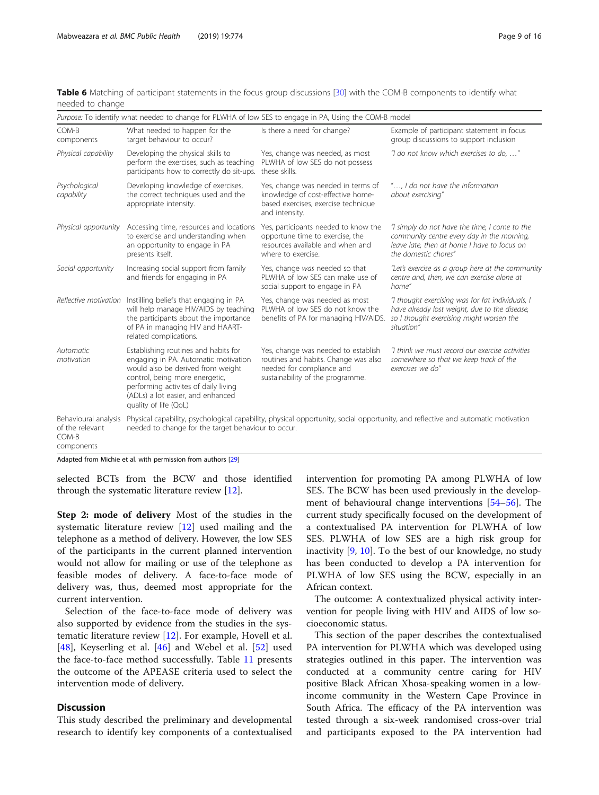<span id="page-8-0"></span>Table 6 Matching of participant statements in the focus group discussions [[30](#page-14-0)] with the COM-B components to identify what needed to change

| Purpose: To identify what needed to change for PLWHA of low SES to engage in PA, Using the COM-B model |                                                                                                                                                                                                                                                           |                                                                                                                                              |                                                                                                                                                                    |  |  |
|--------------------------------------------------------------------------------------------------------|-----------------------------------------------------------------------------------------------------------------------------------------------------------------------------------------------------------------------------------------------------------|----------------------------------------------------------------------------------------------------------------------------------------------|--------------------------------------------------------------------------------------------------------------------------------------------------------------------|--|--|
| COM-B<br>components                                                                                    | What needed to happen for the<br>target behaviour to occur?                                                                                                                                                                                               | Is there a need for change?                                                                                                                  | Example of participant statement in focus<br>group discussions to support inclusion                                                                                |  |  |
| Physical capability                                                                                    | Developing the physical skills to<br>perform the exercises, such as teaching<br>participants how to correctly do sit-ups.                                                                                                                                 | Yes, change was needed, as most<br>PLWHA of low SES do not possess<br>these skills.                                                          | "I do not know which exercises to do, "                                                                                                                            |  |  |
| Psychological<br>capability                                                                            | Developing knowledge of exercises,<br>the correct techniques used and the<br>appropriate intensity.                                                                                                                                                       | Yes, change was needed in terms of<br>knowledge of cost-effective home-<br>based exercises, exercise technique<br>and intensity.             | ", I do not have the information<br>about exercising"                                                                                                              |  |  |
| Physical opportunity                                                                                   | Accessing time, resources and locations<br>to exercise and understanding when<br>an opportunity to engage in PA<br>presents itself.                                                                                                                       | Yes, participants needed to know the<br>opportune time to exercise, the<br>resources available and when and<br>where to exercise.            | "I simply do not have the time, I come to the<br>community centre every day in the morning,<br>leave late, then at home I have to focus on<br>the domestic chores" |  |  |
| Social opportunity                                                                                     | Increasing social support from family<br>and friends for engaging in PA                                                                                                                                                                                   | Yes, change was needed so that<br>PLWHA of low SES can make use of<br>social support to engage in PA                                         | "Let's exercise as a group here at the community<br>centre and, then, we can exercise alone at<br>home"                                                            |  |  |
| Reflective motivation                                                                                  | Instilling beliefs that engaging in PA<br>will help manage HIV/AIDS by teaching<br>the participants about the importance<br>of PA in managing HIV and HAART-<br>related complications.                                                                    | Yes, change was needed as most<br>PLWHA of low SES do not know the<br>benefits of PA for managing HIV/AIDS.                                  | "I thought exercising was for fat individuals, I<br>have already lost weight, due to the disease,<br>so I thought exercising might worsen the<br>situation"        |  |  |
| Automatic<br>motivation                                                                                | Establishing routines and habits for<br>engaging in PA. Automatic motivation<br>would also be derived from weight<br>control, being more energetic,<br>performing activites of daily living<br>(ADLs) a lot easier, and enhanced<br>quality of life (QoL) | Yes, change was needed to establish<br>routines and habits. Change was also<br>needed for compliance and<br>sustainability of the programme. | "I think we must record our exercise activities<br>somewhere so that we keep track of the<br>exercises we do"                                                      |  |  |
| Behavioural analysis<br>of the relevant<br>COM-B<br>components                                         | needed to change for the target behaviour to occur.                                                                                                                                                                                                       |                                                                                                                                              | Physical capability, psychological capability, physical opportunity, social opportunity, and reflective and automatic motivation                                   |  |  |

Adapted from Michie et al. with permission from authors [\[29](#page-14-0)]

selected BCTs from the BCW and those identified through the systematic literature review [\[12\]](#page-14-0).

Step 2: mode of delivery Most of the studies in the systematic literature review [[12\]](#page-14-0) used mailing and the telephone as a method of delivery. However, the low SES of the participants in the current planned intervention would not allow for mailing or use of the telephone as feasible modes of delivery. A face-to-face mode of delivery was, thus, deemed most appropriate for the current intervention.

Selection of the face-to-face mode of delivery was also supported by evidence from the studies in the systematic literature review [[12\]](#page-14-0). For example, Hovell et al. [[48\]](#page-14-0), Keyserling et al. [[46\]](#page-14-0) and Webel et al. [[52\]](#page-15-0) used the face-to-face method successfully. Table [11](#page-12-0) presents the outcome of the APEASE criteria used to select the intervention mode of delivery.

#### **Discussion**

This study described the preliminary and developmental research to identify key components of a contextualised intervention for promoting PA among PLWHA of low SES. The BCW has been used previously in the development of behavioural change interventions [\[54](#page-15-0)–[56](#page-15-0)]. The current study specifically focused on the development of a contextualised PA intervention for PLWHA of low SES. PLWHA of low SES are a high risk group for inactivity [\[9,](#page-14-0) [10\]](#page-14-0). To the best of our knowledge, no study has been conducted to develop a PA intervention for PLWHA of low SES using the BCW, especially in an African context.

The outcome: A contextualized physical activity intervention for people living with HIV and AIDS of low socioeconomic status.

This section of the paper describes the contextualised PA intervention for PLWHA which was developed using strategies outlined in this paper. The intervention was conducted at a community centre caring for HIV positive Black African Xhosa-speaking women in a lowincome community in the Western Cape Province in South Africa. The efficacy of the PA intervention was tested through a six-week randomised cross-over trial and participants exposed to the PA intervention had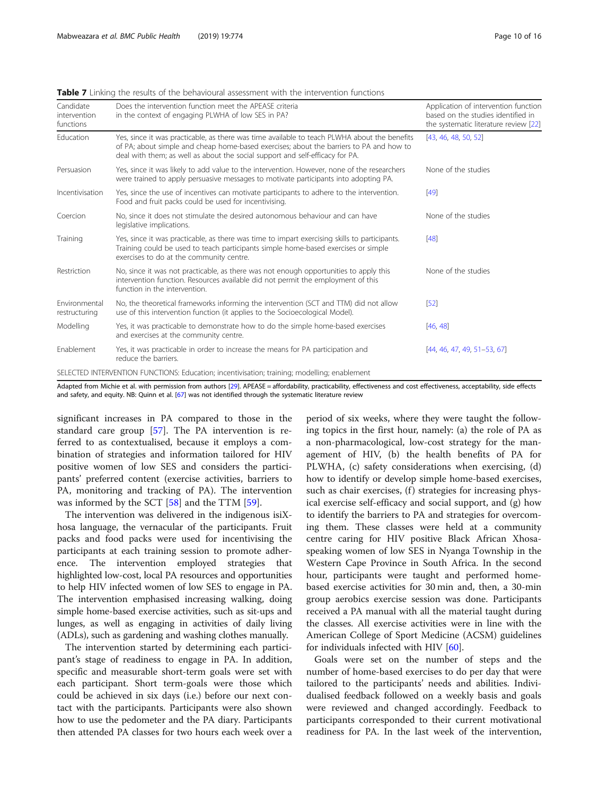<span id="page-9-0"></span>

| <b>Table 7</b> Linking the results of the behavioural assessment with the intervention functions |  |
|--------------------------------------------------------------------------------------------------|--|
|--------------------------------------------------------------------------------------------------|--|

| Candidate<br>intervention<br>functions | Does the intervention function meet the APEASE criteria<br>in the context of engaging PLWHA of low SES in PA?                                                                                                                                                            | Application of intervention function<br>based on the studies identified in<br>the systematic literature review [22] |
|----------------------------------------|--------------------------------------------------------------------------------------------------------------------------------------------------------------------------------------------------------------------------------------------------------------------------|---------------------------------------------------------------------------------------------------------------------|
| Education                              | Yes, since it was practicable, as there was time available to teach PLWHA about the benefits<br>of PA; about simple and cheap home-based exercises; about the barriers to PA and how to<br>deal with them; as well as about the social support and self-efficacy for PA. | [43, 46, 48, 50, 52]                                                                                                |
| Persuasion                             | Yes, since it was likely to add value to the intervention. However, none of the researchers<br>were trained to apply persuasive messages to motivate participants into adopting PA.                                                                                      | None of the studies                                                                                                 |
| Incentivisation                        | Yes, since the use of incentives can motivate participants to adhere to the intervention.<br>Food and fruit packs could be used for incentivising.                                                                                                                       | [49]                                                                                                                |
| Coercion                               | No, since it does not stimulate the desired autonomous behaviour and can have<br>legislative implications.                                                                                                                                                               | None of the studies                                                                                                 |
| Training                               | Yes, since it was practicable, as there was time to impart exercising skills to participants.<br>Training could be used to teach participants simple home-based exercises or simple<br>exercises to do at the community centre.                                          | [48]                                                                                                                |
| Restriction                            | No, since it was not practicable, as there was not enough opportunities to apply this<br>intervention function. Resources available did not permit the employment of this<br>function in the intervention.                                                               | None of the studies                                                                                                 |
| Fnvironmental<br>restructuring         | No, the theoretical frameworks informing the intervention (SCT and TTM) did not allow<br>use of this intervention function (it applies to the Socioecological Model).                                                                                                    | [52]                                                                                                                |
| Modelling                              | Yes, it was practicable to demonstrate how to do the simple home-based exercises<br>and exercises at the community centre.                                                                                                                                               | [46, 48]                                                                                                            |
| Enablement                             | Yes, it was practicable in order to increase the means for PA participation and<br>reduce the barriers.                                                                                                                                                                  | $[44, 46, 47, 49, 51-53, 67]$                                                                                       |
|                                        | SELECTED INTERVENTION FUNCTIONS: Education; incentivisation; training; modelling; enablement                                                                                                                                                                             |                                                                                                                     |

Adapted from Michie et al. with permission from authors [\[29](#page-14-0)]. APEASE = affordability, practicability, effectiveness and cost effectiveness, acceptability, side effects and safety, and equity. NB: Quinn et al. [\[67](#page-15-0)] was not identified through the systematic literature review

significant increases in PA compared to those in the standard care group [\[57](#page-15-0)]. The PA intervention is referred to as contextualised, because it employs a combination of strategies and information tailored for HIV positive women of low SES and considers the participants' preferred content (exercise activities, barriers to PA, monitoring and tracking of PA). The intervention was informed by the SCT [[58\]](#page-15-0) and the TTM [\[59](#page-15-0)].

The intervention was delivered in the indigenous isiXhosa language, the vernacular of the participants. Fruit packs and food packs were used for incentivising the participants at each training session to promote adherence. The intervention employed strategies that highlighted low-cost, local PA resources and opportunities to help HIV infected women of low SES to engage in PA. The intervention emphasised increasing walking, doing simple home-based exercise activities, such as sit-ups and lunges, as well as engaging in activities of daily living (ADLs), such as gardening and washing clothes manually.

The intervention started by determining each participant's stage of readiness to engage in PA. In addition, specific and measurable short-term goals were set with each participant. Short term-goals were those which could be achieved in six days (i.e.) before our next contact with the participants. Participants were also shown how to use the pedometer and the PA diary. Participants then attended PA classes for two hours each week over a

period of six weeks, where they were taught the following topics in the first hour, namely: (a) the role of PA as a non-pharmacological, low-cost strategy for the management of HIV, (b) the health benefits of PA for PLWHA, (c) safety considerations when exercising, (d) how to identify or develop simple home-based exercises, such as chair exercises, (f) strategies for increasing physical exercise self-efficacy and social support, and (g) how to identify the barriers to PA and strategies for overcoming them. These classes were held at a community centre caring for HIV positive Black African Xhosaspeaking women of low SES in Nyanga Township in the Western Cape Province in South Africa. In the second hour, participants were taught and performed homebased exercise activities for 30 min and, then, a 30-min group aerobics exercise session was done. Participants received a PA manual with all the material taught during the classes. All exercise activities were in line with the American College of Sport Medicine (ACSM) guidelines for individuals infected with HIV [\[60](#page-15-0)].

Goals were set on the number of steps and the number of home-based exercises to do per day that were tailored to the participants' needs and abilities. Individualised feedback followed on a weekly basis and goals were reviewed and changed accordingly. Feedback to participants corresponded to their current motivational readiness for PA. In the last week of the intervention,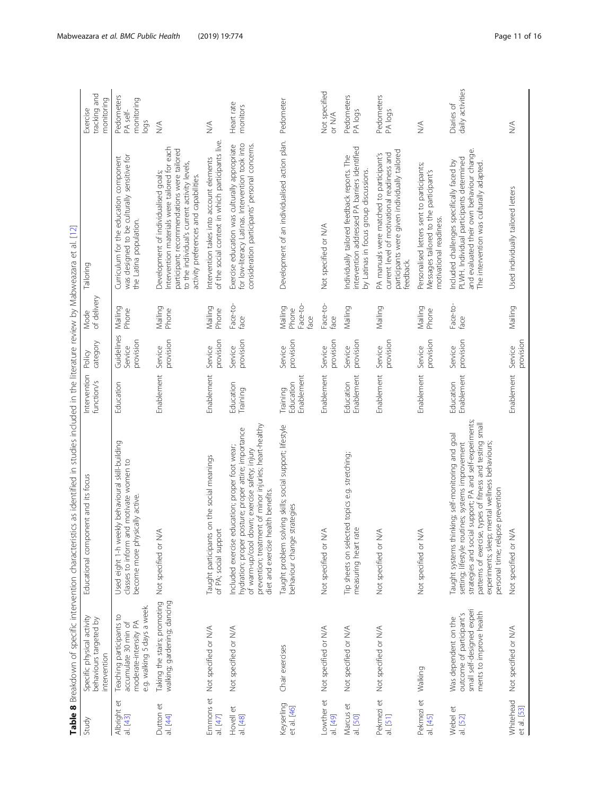| a construction of the construction of the construction of the construction of the construction of the construction of the construction of the construction of the construction of the construction of the construction of the |  |
|-------------------------------------------------------------------------------------------------------------------------------------------------------------------------------------------------------------------------------|--|
|                                                                                                                                                                                                                               |  |
|                                                                                                                                                                                                                               |  |
|                                                                                                                                                                                                                               |  |
|                                                                                                                                                                                                                               |  |
|                                                                                                                                                                                                                               |  |
| j<br>Ī<br>j                                                                                                                                                                                                                   |  |
|                                                                                                                                                                                                                               |  |
|                                                                                                                                                                                                                               |  |
|                                                                                                                                                                                                                               |  |
| )<br>5                                                                                                                                                                                                                        |  |
|                                                                                                                                                                                                                               |  |
| $\ddot{\phantom{a}}$                                                                                                                                                                                                          |  |
|                                                                                                                                                                                                                               |  |
| l<br>ï                                                                                                                                                                                                                        |  |
|                                                                                                                                                                                                                               |  |
| i<br>Ì                                                                                                                                                                                                                        |  |
|                                                                                                                                                                                                                               |  |
| ֖֖֚֚֚֚֚֚֚֚֡<br>l                                                                                                                                                                                                              |  |
|                                                                                                                                                                                                                               |  |
|                                                                                                                                                                                                                               |  |
|                                                                                                                                                                                                                               |  |
|                                                                                                                                                                                                                               |  |
|                                                                                                                                                                                                                               |  |
|                                                                                                                                                                                                                               |  |
|                                                                                                                                                                                                                               |  |
|                                                                                                                                                                                                                               |  |
| l<br>ñ                                                                                                                                                                                                                        |  |
| ļ                                                                                                                                                                                                                             |  |

<span id="page-10-0"></span>

| Study                                                            | Specific physical activity<br>behaviours targeted by<br>intervention                                       | Educational component and its focus                                                                                                                                                                                                                                                                                     | Intervention<br>function/s          | category<br>Policy                 | of delivery<br>Mode                  | Tailoring                                                                                                                                                                                                                     | tracking and<br>monitoring<br>Exercise       |
|------------------------------------------------------------------|------------------------------------------------------------------------------------------------------------|-------------------------------------------------------------------------------------------------------------------------------------------------------------------------------------------------------------------------------------------------------------------------------------------------------------------------|-------------------------------------|------------------------------------|--------------------------------------|-------------------------------------------------------------------------------------------------------------------------------------------------------------------------------------------------------------------------------|----------------------------------------------|
| Albright et<br>al. [43]                                          | e.g. walking 5 days a week.<br>S<br>moderate-intensity PA<br>Teaching participants<br>accumulate 30 min of | Used eight 1-h weekly behavioural skill-building<br>classes to inform and motivate women to<br>become more physically active.                                                                                                                                                                                           | Education                           | Guidelines<br>provision<br>Service | Mailing<br>Phone                     | was designed to be culturally sensitive for<br>Curriculum for the education component<br>the Latina population.                                                                                                               | Pedometers<br>monitoring<br>PA self-<br>logs |
| Dutton et<br>al. [44]                                            | Taking the stairs; promoting<br>walking; gardening; dancing                                                | Not specified or N/                                                                                                                                                                                                                                                                                                     | Enablement                          | provision<br>Service               | Mailing<br>Phone                     | Intervention materials were tailored for each<br>participant; recommendations were tailored<br>to the individual's current activity levels,<br>Development of individualised goals;<br>activity preferences and capabilities. | $\stackrel{\triangleleft}{\geq}$             |
| Emmons et<br>al. [47]                                            | Not specified or N/A                                                                                       | on the social meanings<br>of PA; social support<br>Taught participants                                                                                                                                                                                                                                                  | Enablement                          | provision<br>Service               | Mailing<br>Phone                     | of the social context in which participants live.<br>Intervention takes into account elements                                                                                                                                 | $\stackrel{\triangleleft}{\geq}$             |
| $\overleftrightarrow{\mathbb{\mathbb{C}}}$<br>Hovell<br>al. [48] | Not specified or N/A                                                                                       | prevention; treatment of minor injuries; heart-healthy<br>hydration; proper posture; proper attire; importance<br>Included exercise education; proper foot wear;<br>of warm-up/cool down; exercise safety; injury<br>diet and exercise health benefits.                                                                 | Education<br>Training               | provision<br>Service               | Face-to-<br>face                     | for low-literacy Latinas. Intervention took into<br>consideration participants' personal concerns.<br>Exercise education was culturally appropriate                                                                           | Heart rate<br>monitors                       |
| Keyserling<br>et al. [46]                                        | Chair exercises                                                                                            | Taught problem solving skills; social support; lifestyle<br>behaviour change strategies                                                                                                                                                                                                                                 | Enablement<br>Education<br>Training | provision<br>Service               | Face-to-<br>Mailing<br>Phone<br>face | Development of an individualised action plan.                                                                                                                                                                                 | Pedometer                                    |
| Lowther et<br>al. [49]                                           | Not specified or N/A                                                                                       | Not specified or N/A                                                                                                                                                                                                                                                                                                    | Enablement                          | provision<br>Service               | Face-to-<br>face                     | Not specified or N/A                                                                                                                                                                                                          | Not specified<br>or N/A                      |
| Marcus et<br>al. [50]                                            | Not specified or N/A                                                                                       | Tip sheets on selected topics e.g. stretching;<br>measuring heart rate                                                                                                                                                                                                                                                  | Enablement<br>Education             | provision<br>Service               | Mailing                              | intervention addressed PA barriers identified<br>ndividually tailored feedback reports. The<br>by Latinas in focus group discussions.                                                                                         | Pedometers<br>PA logs                        |
| Pekmezi et<br>al. [51]                                           | Not specified or N/A                                                                                       | Not specified or N/A                                                                                                                                                                                                                                                                                                    | Enablement                          | provision<br>Service               | Mailing                              | participants were given individually tailored<br>PA manuals were matched to participant's<br>current level of motivational readiness and<br>feedback.                                                                         | Pedometers<br>PA logs                        |
| Pekmezi et<br>al. [45]                                           | Walking                                                                                                    | Not specified or N/A                                                                                                                                                                                                                                                                                                    | Enablement                          | provision<br>Service               | Mailing<br>Phone                     | Personalised letters sent to participants;<br>Messages tailored to the participant's<br>motivational readiness.                                                                                                               | $\lessgtr$                                   |
| Webel et<br>al. [52]                                             | small self-designed experi<br>ments to improve health<br>outcome of participant's<br>Was dependent on the  | strategies and social support; PA and self-experiments;<br>types of fitness and testing small<br>Taught systems thinking; self-monitoring and goal<br>setting; lifestyle routines; systems improvement<br>experiments; sleep; mental wellness behaviours;<br>personal time; relapse prevention<br>patterns of exercise, | Education<br>Enablement             | provision<br>Service               | Face-to-<br>face                     | and evaluated their own behaviour change.<br>PLWH. Individual participants determined<br>Included challenges specifically faced by<br>The intervention was culturally adapted.                                                | daily activities<br>Diaries of               |
| Whitehead<br>et al. [53]                                         | Not specified or N/A                                                                                       | Not specified or NV                                                                                                                                                                                                                                                                                                     | Enablement                          | provision<br>Service               | Mailing                              | Used individually tailored letters                                                                                                                                                                                            | $\stackrel{\triangleleft}{\geq}$             |
|                                                                  |                                                                                                            |                                                                                                                                                                                                                                                                                                                         |                                     |                                    |                                      |                                                                                                                                                                                                                               |                                              |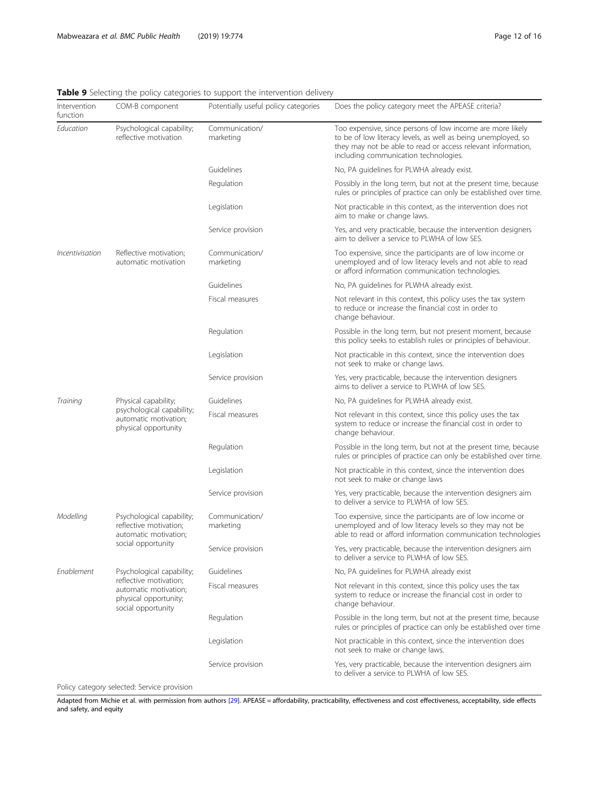| Intervention<br>function             | COM-B component                                                                                                             | <b>Experience and the policy categories to support the intervention actively</b><br>Potentially useful policy categories | Does the policy category meet the APEASE criteria?                                                                                                                                                                                   |
|--------------------------------------|-----------------------------------------------------------------------------------------------------------------------------|--------------------------------------------------------------------------------------------------------------------------|--------------------------------------------------------------------------------------------------------------------------------------------------------------------------------------------------------------------------------------|
| Education                            | Psychological capability;<br>reflective motivation                                                                          | Communication/<br>marketing                                                                                              | Too expensive, since persons of low income are more likely<br>to be of low literacy levels, as well as being unemployed, so<br>they may not be able to read or access relevant information,<br>including communication technologies. |
|                                      |                                                                                                                             | Guidelines                                                                                                               | No, PA guidelines for PLWHA already exist.                                                                                                                                                                                           |
|                                      |                                                                                                                             | Regulation                                                                                                               | Possibly in the long term, but not at the present time, because<br>rules or principles of practice can only be established over time.                                                                                                |
|                                      |                                                                                                                             | Legislation                                                                                                              | Not practicable in this context, as the intervention does not<br>aim to make or change laws.                                                                                                                                         |
|                                      |                                                                                                                             | Service provision                                                                                                        | Yes, and very practicable, because the intervention designers<br>aim to deliver a service to PLWHA of low SES.                                                                                                                       |
| <i><u><b>Incentivisation</b></u></i> | Reflective motivation;<br>automatic motivation                                                                              | Communication/<br>marketing                                                                                              | Too expensive, since the participants are of low income or<br>unemployed and of low literacy levels and not able to read<br>or afford information communication technologies.                                                        |
|                                      |                                                                                                                             | Guidelines                                                                                                               | No, PA guidelines for PLWHA already exist.                                                                                                                                                                                           |
|                                      |                                                                                                                             | Fiscal measures                                                                                                          | Not relevant in this context, this policy uses the tax system<br>to reduce or increase the financial cost in order to<br>change behaviour.                                                                                           |
|                                      |                                                                                                                             | Regulation                                                                                                               | Possible in the long term, but not present moment, because<br>this policy seeks to establish rules or principles of behaviour.                                                                                                       |
|                                      |                                                                                                                             | Legislation                                                                                                              | Not practicable in this context, since the intervention does<br>not seek to make or change laws.                                                                                                                                     |
|                                      |                                                                                                                             | Service provision                                                                                                        | Yes, very practicable, because the intervention designers<br>aims to deliver a service to PLWHA of low SES.                                                                                                                          |
| Training                             | Physical capability;<br>psychological capability;<br>automatic motivation;<br>physical opportunity                          | Guidelines                                                                                                               | No, PA guidelines for PLWHA already exist.                                                                                                                                                                                           |
|                                      |                                                                                                                             | Fiscal measures                                                                                                          | Not relevant in this context, since this policy uses the tax<br>system to reduce or increase the financial cost in order to<br>change behaviour.                                                                                     |
|                                      |                                                                                                                             | Regulation                                                                                                               | Possible in the long term, but not at the present time, because<br>rules or principles of practice can only be established over time.                                                                                                |
|                                      |                                                                                                                             | Legislation                                                                                                              | Not practicable in this context, since the intervention does<br>not seek to make or change laws                                                                                                                                      |
|                                      |                                                                                                                             | Service provision                                                                                                        | Yes, very practicable, because the intervention designers aim<br>to deliver a service to PLWHA of low SES.                                                                                                                           |
| Modelling                            | Psychological capability;<br>reflective motivation;<br>automatic motivation;                                                | Communication/<br>marketing                                                                                              | Too expensive, since the participants are of low income or<br>unemployed and of low literacy levels so they may not be<br>able to read or afford information communication technologies                                              |
|                                      | social opportunity                                                                                                          | Service provision                                                                                                        | Yes, very practicable, because the intervention designers aim<br>to deliver a service to PLWHA of low SES.                                                                                                                           |
| Enablement                           | Psychological capability;<br>reflective motivation:<br>automatic motivation:<br>physical opportunity;<br>social opportunity | Guidelines                                                                                                               | No, PA guidelines for PLWHA already exist                                                                                                                                                                                            |
|                                      |                                                                                                                             | Fiscal measures                                                                                                          | Not relevant in this context, since this policy uses the tax<br>system to reduce or increase the financial cost in order to<br>change behaviour.                                                                                     |
|                                      |                                                                                                                             | Regulation                                                                                                               | Possible in the long term, but not at the present time, because<br>rules or principles of practice can only be established over time                                                                                                 |
|                                      |                                                                                                                             | Legislation                                                                                                              | Not practicable in this context, since the intervention does<br>not seek to make or change laws.                                                                                                                                     |
|                                      |                                                                                                                             | Service provision                                                                                                        | Yes, very practicable, because the intervention designers aim<br>to deliver a service to PLWHA of low SES.                                                                                                                           |
|                                      |                                                                                                                             |                                                                                                                          |                                                                                                                                                                                                                                      |

<span id="page-11-0"></span>Table 9 Selecting the policy categories to support the intervention delivery

Policy category selected: Service provision

Adapted from Michie et al. with permission from authors [\[29](#page-14-0)]. APEASE = affordability, practicability, effectiveness and cost effectiveness, acceptability, side effects and safety, and equity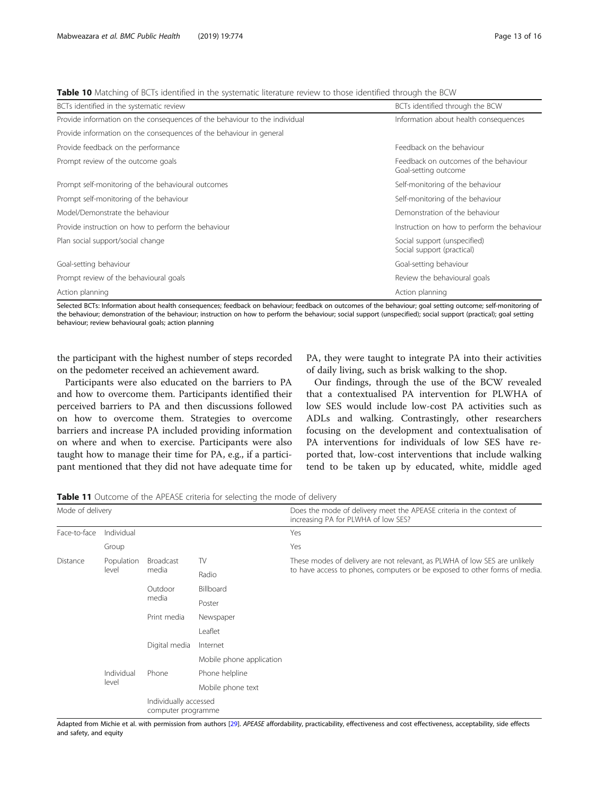<span id="page-12-0"></span>

| <b>Table 10</b> Matching of BCTs identified in the systematic literature review to those identified through the BCW |  |  |
|---------------------------------------------------------------------------------------------------------------------|--|--|
|---------------------------------------------------------------------------------------------------------------------|--|--|

| BCTs identified in the systematic review                                   | BCTs identified through the BCW                               |
|----------------------------------------------------------------------------|---------------------------------------------------------------|
| Provide information on the consequences of the behaviour to the individual | Information about health consequences                         |
| Provide information on the consequences of the behaviour in general        |                                                               |
| Provide feedback on the performance                                        | Feedback on the behaviour                                     |
| Prompt review of the outcome goals                                         | Feedback on outcomes of the behaviour<br>Goal-setting outcome |
| Prompt self-monitoring of the behavioural outcomes                         | Self-monitoring of the behaviour                              |
| Prompt self-monitoring of the behaviour                                    | Self-monitoring of the behaviour                              |
| Model/Demonstrate the behaviour                                            | Demonstration of the behaviour                                |
| Provide instruction on how to perform the behaviour                        | Instruction on how to perform the behaviour                   |
| Plan social support/social change                                          | Social support (unspecified)<br>Social support (practical)    |
| Goal-setting behaviour                                                     | Goal-setting behaviour                                        |
| Prompt review of the behavioural goals                                     | Review the behavioural goals                                  |
| Action planning                                                            | Action planning                                               |

Selected BCTs: Information about health consequences; feedback on behaviour; feedback on outcomes of the behaviour; goal setting outcome; self-monitoring of the behaviour; demonstration of the behaviour; instruction on how to perform the behaviour; social support (unspecified); social support (practical); goal setting behaviour; review behavioural goals; action planning

the participant with the highest number of steps recorded on the pedometer received an achievement award.

Participants were also educated on the barriers to PA and how to overcome them. Participants identified their perceived barriers to PA and then discussions followed on how to overcome them. Strategies to overcome barriers and increase PA included providing information on where and when to exercise. Participants were also taught how to manage their time for PA, e.g., if a participant mentioned that they did not have adequate time for PA, they were taught to integrate PA into their activities of daily living, such as brisk walking to the shop.

Our findings, through the use of the BCW revealed that a contextualised PA intervention for PLWHA of low SES would include low-cost PA activities such as ADLs and walking. Contrastingly, other researchers focusing on the development and contextualisation of PA interventions for individuals of low SES have reported that, low-cost interventions that include walking tend to be taken up by educated, white, middle aged

Table 11 Outcome of the APEASE criteria for selecting the mode of delivery

| Mode of delivery |                     |                                             | Does the mode of delivery meet the APEASE criteria in the context of<br>increasing PA for PLWHA of low SES? |                                                                            |  |
|------------------|---------------------|---------------------------------------------|-------------------------------------------------------------------------------------------------------------|----------------------------------------------------------------------------|--|
| Face-to-face     | Individual          |                                             |                                                                                                             | Yes                                                                        |  |
|                  | Group               |                                             |                                                                                                             | Yes                                                                        |  |
| Distance         | Population          | Broadcast                                   | TV                                                                                                          | These modes of delivery are not relevant, as PLWHA of low SES are unlikely |  |
|                  | level               | media                                       | Radio                                                                                                       | to have access to phones, computers or be exposed to other forms of media. |  |
|                  |                     | Outdoor<br>media                            | <b>Billboard</b>                                                                                            |                                                                            |  |
|                  |                     |                                             | Poster                                                                                                      |                                                                            |  |
|                  |                     | Print media                                 | Newspaper                                                                                                   |                                                                            |  |
|                  |                     |                                             | Leaflet                                                                                                     |                                                                            |  |
|                  |                     | Digital media                               | Internet                                                                                                    |                                                                            |  |
|                  |                     |                                             | Mobile phone application                                                                                    |                                                                            |  |
|                  | Individual<br>level | Phone                                       | Phone helpline                                                                                              |                                                                            |  |
|                  |                     |                                             | Mobile phone text                                                                                           |                                                                            |  |
|                  |                     | Individually accessed<br>computer programme |                                                                                                             |                                                                            |  |

Adapted from Michie et al. with permission from authors [\[29](#page-14-0)]. APEASE affordability, practicability, effectiveness and cost effectiveness, acceptability, side effects and safety, and equity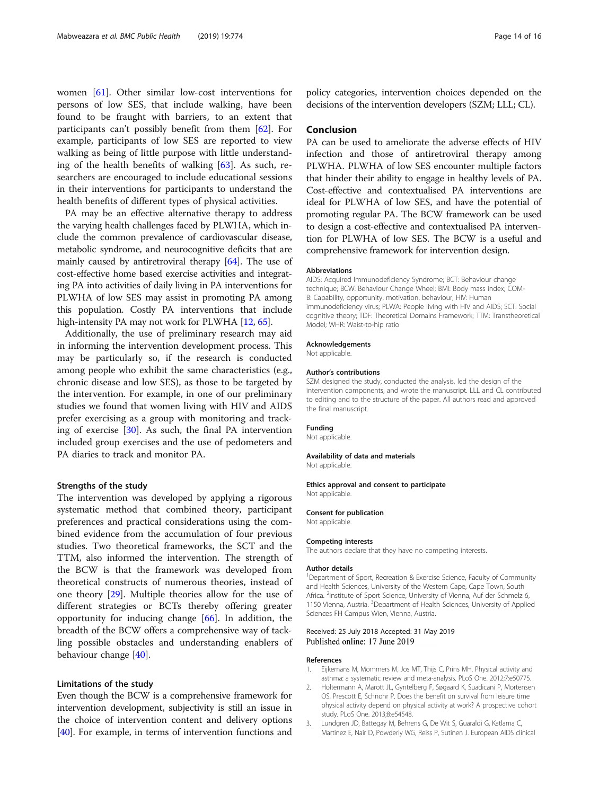<span id="page-13-0"></span>women [\[61](#page-15-0)]. Other similar low-cost interventions for persons of low SES, that include walking, have been found to be fraught with barriers, to an extent that participants can't possibly benefit from them [[62\]](#page-15-0). For example, participants of low SES are reported to view walking as being of little purpose with little understanding of the health benefits of walking [\[63](#page-15-0)]. As such, researchers are encouraged to include educational sessions in their interventions for participants to understand the health benefits of different types of physical activities.

PA may be an effective alternative therapy to address the varying health challenges faced by PLWHA, which include the common prevalence of cardiovascular disease, metabolic syndrome, and neurocognitive deficits that are mainly caused by antiretroviral therapy [\[64\]](#page-15-0). The use of cost-effective home based exercise activities and integrating PA into activities of daily living in PA interventions for PLWHA of low SES may assist in promoting PA among this population. Costly PA interventions that include high-intensity PA may not work for PLWHA [\[12,](#page-14-0) [65](#page-15-0)].

Additionally, the use of preliminary research may aid in informing the intervention development process. This may be particularly so, if the research is conducted among people who exhibit the same characteristics (e.g., chronic disease and low SES), as those to be targeted by the intervention. For example, in one of our preliminary studies we found that women living with HIV and AIDS prefer exercising as a group with monitoring and tracking of exercise [[30](#page-14-0)]. As such, the final PA intervention included group exercises and the use of pedometers and PA diaries to track and monitor PA.

#### Strengths of the study

The intervention was developed by applying a rigorous systematic method that combined theory, participant preferences and practical considerations using the combined evidence from the accumulation of four previous studies. Two theoretical frameworks, the SCT and the TTM, also informed the intervention. The strength of the BCW is that the framework was developed from theoretical constructs of numerous theories, instead of one theory [[29\]](#page-14-0). Multiple theories allow for the use of different strategies or BCTs thereby offering greater opportunity for inducing change [[66](#page-15-0)]. In addition, the breadth of the BCW offers a comprehensive way of tackling possible obstacles and understanding enablers of behaviour change [[40\]](#page-14-0).

## Limitations of the study

Even though the BCW is a comprehensive framework for intervention development, subjectivity is still an issue in the choice of intervention content and delivery options [[40](#page-14-0)]. For example, in terms of intervention functions and

policy categories, intervention choices depended on the decisions of the intervention developers (SZM; LLL; CL).

## Conclusion

PA can be used to ameliorate the adverse effects of HIV infection and those of antiretroviral therapy among PLWHA. PLWHA of low SES encounter multiple factors that hinder their ability to engage in healthy levels of PA. Cost-effective and contextualised PA interventions are ideal for PLWHA of low SES, and have the potential of promoting regular PA. The BCW framework can be used to design a cost-effective and contextualised PA intervention for PLWHA of low SES. The BCW is a useful and comprehensive framework for intervention design.

#### Abbreviations

AIDS: Acquired Immunodeficiency Syndrome; BCT: Behaviour change technique; BCW: Behaviour Change Wheel; BMI: Body mass index; COM-B: Capability, opportunity, motivation, behaviour; HIV: Human immunodeficiency virus; PLWA: People living with HIV and AIDS; SCT: Social cognitive theory; TDF: Theoretical Domains Framework; TTM: Transtheoretical Model; WHR: Waist-to-hip ratio

#### Acknowledgements

Not applicable.

#### Author's contributions

SZM designed the study, conducted the analysis, led the design of the intervention components, and wrote the manuscript. LLL and CL contributed to editing and to the structure of the paper. All authors read and approved the final manuscript.

#### Funding

Not applicable.

#### Availability of data and materials

Not applicable.

#### Ethics approval and consent to participate Not applicable.

Consent for publication

Not applicable.

#### Competing interests

The authors declare that they have no competing interests.

#### Author details

<sup>1</sup>Department of Sport, Recreation & Exercise Science, Faculty of Community and Health Sciences, University of the Western Cape, Cape Town, South Africa. <sup>2</sup>Institute of Sport Science, University of Vienna, Auf der Schmelz 6 1150 Vienna, Austria. <sup>3</sup>Department of Health Sciences, University of Applied Sciences FH Campus Wien, Vienna, Austria.

#### Received: 25 July 2018 Accepted: 31 May 2019 Published online: 17 June 2019

#### References

- 1. Eijkemans M, Mommers M, Jos MT, Thijs C, Prins MH. Physical activity and asthma: a systematic review and meta-analysis. PLoS One. 2012;7:e50775.
- 2. Holtermann A, Marott JL, Gyntelberg F, Søgaard K, Suadicani P, Mortensen OS, Prescott E, Schnohr P. Does the benefit on survival from leisure time physical activity depend on physical activity at work? A prospective cohort study. PLoS One. 2013;8:e54548.
- 3. Lundgren JD, Battegay M, Behrens G, De Wit S, Guaraldi G, Katlama C, Martinez E, Nair D, Powderly WG, Reiss P, Sutinen J. European AIDS clinical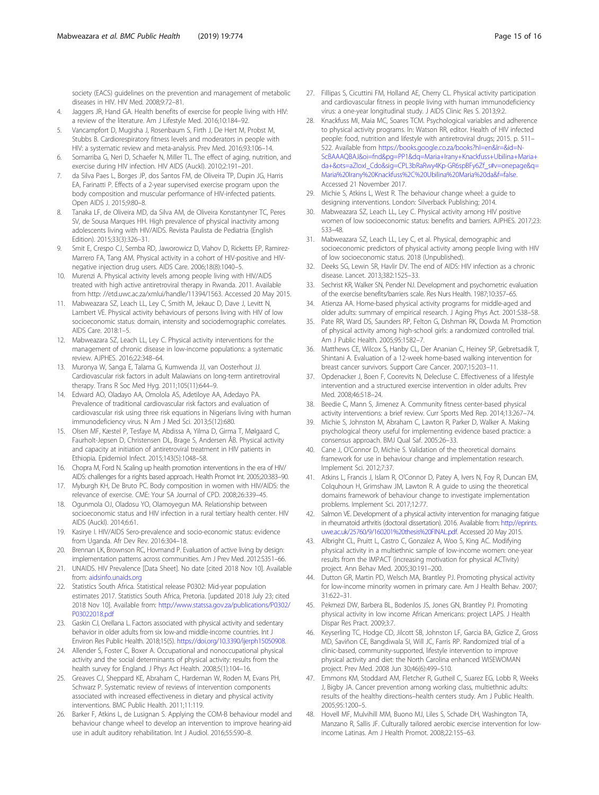<span id="page-14-0"></span>society (EACS) guidelines on the prevention and management of metabolic diseases in HIV. HIV Med. 2008;9:72–81.

- 4. Jaggers JR, Hand GA. Health benefits of exercise for people living with HIV: a review of the literature. Am J Lifestyle Med. 2016;10:184–92.
- 5. Vancampfort D, Mugisha J, Rosenbaum S, Firth J, De Hert M, Probst M, Stubbs B. Cardiorespiratory fitness levels and moderators in people with HIV: a systematic review and meta-analysis. Prev Med. 2016;93:106–14.
- 6. Somarriba G, Neri D, Schaefer N, Miller TL. The effect of aging, nutrition, and exercise during HIV infection. HIV AIDS (Auckl). 2010;2:191–201.
- 7. da Silva Paes L, Borges JP, dos Santos FM, de Oliveira TP, Dupin JG, Harris EA, Farinatti P. Effects of a 2-year supervised exercise program upon the body composition and muscular performance of HIV-infected patients. Open AIDS J. 2015;9:80–8.
- 8. Tanaka LF, de Oliveira MD, da Silva AM, de Oliveira Konstantyner TC, Peres SV, de Sousa Marques HH. High prevalence of physical inactivity among adolescents living with HIV/AIDS. Revista Paulista de Pediatria (English Edition). 2015;33(3):326–31.
- Smit E, Crespo CJ, Semba RD, Jaworowicz D, Vlahov D, Ricketts EP, Ramirez-Marrero FA, Tang AM. Physical activity in a cohort of HIV-positive and HIVnegative injection drug users. AIDS Care. 2006;18(8):1040–5.
- 10. Murenzi A. Physical activity levels among people living with HIV/AIDS treated with high active antiretroviral therapy in Rwanda. 2011. Available from http: //etd.uwc.ac.za/xmlui/handle/11394/1563. Accessed 20 May 2015.
- 11. Mabweazara SZ, Leach LL, Ley C, Smith M, Jekauc D, Dave J, Levitt N, Lambert VE. Physical activity behaviours of persons living with HIV of low socioeconomic status: domain, intensity and sociodemographic correlates. AIDS Care. 2018:1–5.
- 12. Mabweazara SZ, Leach LL, Ley C. Physical activity interventions for the management of chronic disease in low-income populations: a systematic review. AJPHES. 2016;22:348–64.
- 13. Muronya W, Sanga E, Talama G, Kumwenda JJ, van Oosterhout JJ. Cardiovascular risk factors in adult Malawians on long-term antiretroviral therapy. Trans R Soc Med Hyg. 2011;105(11):644–9.
- 14. Edward AO, Oladayo AA, Omolola AS, Adetiloye AA, Adedayo PA. Prevalence of traditional cardiovascular risk factors and evaluation of cardiovascular risk using three risk equations in Nigerians living with human immunodeficiency virus. N Am J Med Sci. 2013;5(12):680.
- 15. Olsen MF, Kæstel P, Tesfaye M, Abdissa A, Yilma D, Girma T, Mølgaard C, Faurholt-Jepsen D, Christensen DL, Brage S, Andersen ÅB. Physical activity and capacity at initiation of antiretroviral treatment in HIV patients in Ethiopia. Epidemiol Infect. 2015;143(5):1048–58.
- 16. Chopra M, Ford N. Scaling up health promotion interventions in the era of HIV/ AIDS: challenges for a rights based approach. Health Promot Int. 2005;20:383–90.
- 17. Myburgh KH, De Bruto PC. Body composition in women with HIV/AIDS: the relevance of exercise. CME: Your SA Journal of CPD. 2008;26:339–45.
- 18. Ogunmola OJ, Oladosu YO, Olamoyegun MA. Relationship between socioeconomic status and HIV infection in a rural tertiary health center. HIV AIDS (Auckl). 2014;6:61.
- 19. Kasirye I. HIV/AIDS Sero-prevalence and socio-economic status: evidence from Uganda. Afr Dev Rev. 2016:304–18.
- 20. Brennan LK, Brownson RC, Hovmand P. Evaluation of active living by design: implementation patterns across communities. Am J Prev Med. 2012:S351–66.
- 21. UNAIDS. HIV Prevalence [Data Sheet]. No date [cited 2018 Nov 10]. Available from: [aidsinfo.unaids.org](http://aidsinfo.unaids.org)
- 22. Statistics South Africa. Statistical release P0302: Mid-year population estimates 2017. Statistics South Africa, Pretoria. [updated 2018 July 23; cited 2018 Nov 10]. Available from: [http://www.statssa.gov.za/publications/P0302/](http://www.statssa.gov.za/publications/P0302/P03022018.pdf) [P03022018.pdf](http://www.statssa.gov.za/publications/P0302/P03022018.pdf)
- 23. Gaskin CJ, Orellana L. Factors associated with physical activity and sedentary behavior in older adults from six low-and middle-income countries. Int J Environ Res Public Health. 2018;15(5). <https://doi.org/10.3390/ijerph15050908>.
- 24. Allender S, Foster C, Boxer A. Occupational and nonoccupational physical activity and the social determinants of physical activity: results from the health survey for England. J Phys Act Health. 2008;5(1):104–16.
- 25. Greaves CJ, Sheppard KE, Abraham C, Hardeman W, Roden M, Evans PH, Schwarz P. Systematic review of reviews of intervention components associated with increased effectiveness in dietary and physical activity interventions. BMC Public Health. 2011;11:119.
- 26. Barker F, Atkins L, de Lusignan S. Applying the COM-B behaviour model and behaviour change wheel to develop an intervention to improve hearing-aid use in adult auditory rehabilitation. Int J Audiol. 2016;55:S90–8.
- 27. Fillipas S, Cicuttini FM, Holland AE, Cherry CL. Physical activity participation and cardiovascular fitness in people living with human immunodeficiency virus: a one-year longitudinal study. J AIDS Clinic Res S. 2013;9:2.
- 28. Knackfuss MI, Maia MC, Soares TCM. Psychological variables and adherence to physical activity programs. In: Watson RR, editor. Health of HIV infected people: food, nutrition and lifestyle with antiretroviral drugs; 2015. p. 511– 522. Available from [https://books.google.co.za/books?hl=en&lr=&id=N-](https://books.google.co.za/books?hl=en&lr=&id=N-ScBAAAQBAJ&oi=fnd&pg=PP1&dq=Maria+Irany+Knackfuss+Ubilina+Maria+da+&ots=aZIoxI_Cdo&sig=CPL3bRaRwy4Kp-GR6spBFy6Zf_s%23v=onepage&q=Maria%20Irany%20Knackfuss%2C%20Ubilina%20Maria%20da&f=false)[ScBAAAQBAJ&oi=fnd&pg=PP1&dq=Maria+Irany+Knackfuss+Ubilina+Maria+](https://books.google.co.za/books?hl=en&lr=&id=N-ScBAAAQBAJ&oi=fnd&pg=PP1&dq=Maria+Irany+Knackfuss+Ubilina+Maria+da+&ots=aZIoxI_Cdo&sig=CPL3bRaRwy4Kp-GR6spBFy6Zf_s%23v=onepage&q=Maria%20Irany%20Knackfuss%2C%20Ubilina%20Maria%20da&f=false) [da+&ots=aZIoxI\\_Cdo&sig=CPL3bRaRwy4Kp-GR6spBFy6Zf\\_s#v=onepage&q=](https://books.google.co.za/books?hl=en&lr=&id=N-ScBAAAQBAJ&oi=fnd&pg=PP1&dq=Maria+Irany+Knackfuss+Ubilina+Maria+da+&ots=aZIoxI_Cdo&sig=CPL3bRaRwy4Kp-GR6spBFy6Zf_s%23v=onepage&q=Maria%20Irany%20Knackfuss%2C%20Ubilina%20Maria%20da&f=false) [Maria%20Irany%20Knackfuss%2C%20Ubilina%20Maria%20da&f=false.](https://books.google.co.za/books?hl=en&lr=&id=N-ScBAAAQBAJ&oi=fnd&pg=PP1&dq=Maria+Irany+Knackfuss+Ubilina+Maria+da+&ots=aZIoxI_Cdo&sig=CPL3bRaRwy4Kp-GR6spBFy6Zf_s%23v=onepage&q=Maria%20Irany%20Knackfuss%2C%20Ubilina%20Maria%20da&f=false) Accessed 21 November 2017.
- 29. Michie S, Atkins L, West R. The behaviour change wheel: a guide to designing interventions. London: Silverback Publishing; 2014.
- 30. Mabweazara SZ, Leach LL, Ley C. Physical activity among HIV positive women of low socioeconomic status: benefits and barriers. AJPHES. 2017;23: 533–48.
- 31. Mabweazara SZ, Leach LL, Ley C, et al. Physical, demographic and socioeconomic predictors of physical activity among people living with HIV of low socioeconomic status. 2018 (Unpublished).
- 32. Deeks SG, Lewin SR, Havlir DV. The end of AIDS: HIV infection as a chronic disease. Lancet. 2013;382:1525–33.
- 33. Sechrist KR, Walker SN, Pender NJ. Development and psychometric evaluation of the exercise benefits/barriers scale. Res Nurs Health. 1987;10:357–65.
- 34. Atienza AA. Home-based physical activity programs for middle-aged and older adults: summary of empirical research. J Aging Phys Act. 2001:S38–58.
- 35. Pate RR, Ward DS, Saunders RP, Felton G, Dishman RK, Dowda M. Promotion of physical activity among high-school girls: a randomized controlled trial. Am J Public Health. 2005;95:1582–7.
- Matthews CE, Wilcox S, Hanby CL, Der Ananian C, Heiney SP, Gebretsadik T, Shintani A. Evaluation of a 12-week home-based walking intervention for breast cancer survivors. Support Care Cancer. 2007;15:203–11.
- 37. Opdenacker J, Boen F, Coorevits N, Delecluse C. Effectiveness of a lifestyle intervention and a structured exercise intervention in older adults. Prev Med. 2008;46:518–24.
- 38. Beedie C, Mann S, Jimenez A. Community fitness center-based physical activity interventions: a brief review. Curr Sports Med Rep. 2014;13:267–74.
- 39. Michie S, Johnston M, Abraham C, Lawton R, Parker D, Walker A. Making psychological theory useful for implementing evidence based practice: a consensus approach. BMJ Qual Saf. 2005:26–33.
- 40. Cane J, O'Connor D, Michie S. Validation of the theoretical domains framework for use in behaviour change and implementation research. Implement Sci. 2012;7:37.
- 41. Atkins L, Francis J, Islam R, O'Connor D, Patey A, Ivers N, Foy R, Duncan EM, Colquhoun H, Grimshaw JM, Lawton R. A guide to using the theoretical domains framework of behaviour change to investigate implementation problems. Implement Sci. 2017;12:77.
- Salmon VE. Development of a physical activity intervention for managing fatigue in rheumatoid arthritis (doctoral dissertation). 2016. Available from: [http://eprints.](http://eprints.uwe.ac.uk/25760/9/160201%20thesis%20FINAL.pdf) [uwe.ac.uk/25760/9/160201%20thesis%20FINAL.pdf.](http://eprints.uwe.ac.uk/25760/9/160201%20thesis%20FINAL.pdf) Accessed 20 May 2015.
- 43. Albright CL, Pruitt L, Castro C, Gonzalez A, Woo S, King AC. Modifying physical activity in a multiethnic sample of low-income women: one-year results from the IMPACT (increasing motivation for physical ACTivity) project. Ann Behav Med. 2005;30:191–200.
- 44. Dutton GR, Martin PD, Welsch MA, Brantley PJ. Promoting physical activity for low-income minority women in primary care. Am J Health Behav. 2007; 31:622–31.
- 45. Pekmezi DW, Barbera BL, Bodenlos JS, Jones GN, Brantley PJ. Promoting physical activity in low income African Americans: project LAPS. J Health Dispar Res Pract. 2009;3:7.
- 46. Keyserling TC, Hodge CD, Jilcott SB, Johnston LF, Garcia BA, Gizlice Z, Gross MD, Saviñon CE, Bangdiwala SI, Will JC, Farris RP. Randomized trial of a clinic-based, community-supported, lifestyle intervention to improve physical activity and diet: the North Carolina enhanced WISEWOMAN project. Prev Med. 2008 Jun 30;46(6):499–510.
- 47. Emmons KM, Stoddard AM, Fletcher R, Gutheil C, Suarez EG, Lobb R, Weeks J, Bigby JA. Cancer prevention among working class, multiethnic adults: results of the healthy directions–health centers study. Am J Public Health. 2005;95:1200–5.
- 48. Hovell MF, Mulvihill MM, Buono MJ, Liles S, Schade DH, Washington TA, Manzano R, Sallis JF. Culturally tailored aerobic exercise intervention for lowincome Latinas. Am J Health Promot. 2008;22:155–63.